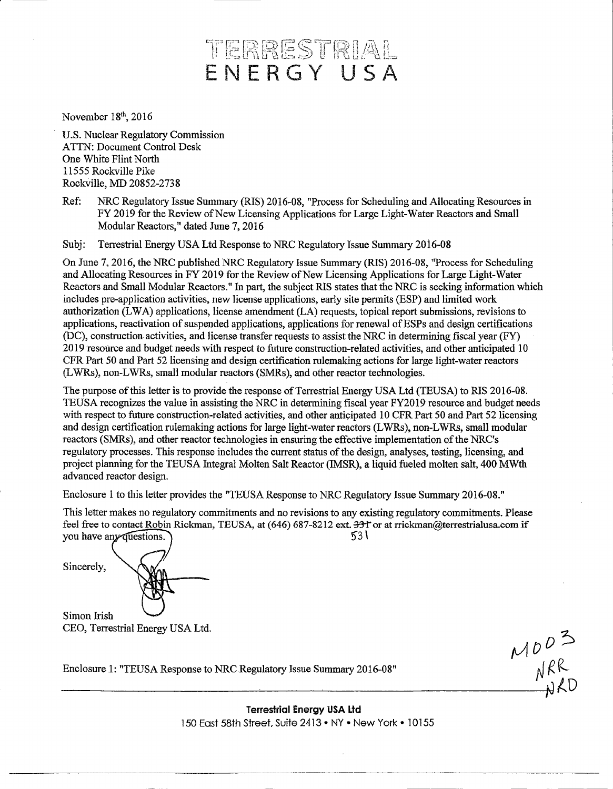# TERRESTRIAL ENERGY' USA

November 18<sup>th</sup>, 2016

U.S. Nuclear Regulatory Commission ATTN: Document Control Desk One White Flint North 11555 Rockville Pike RockVille, MD 20852-2738

Ref: NRC Regulatory Issue Summary (RIS) 2016-08, "Process for Scheduling and Allocating Resources in FY 2019 for the Review of New Licensing Applications for Large Light-Water Reactors and Small Modular Reactors," dated June 7, 2016

Subj: Terrestrial Energy USA Ltd Response to NRC Regulatory Issue Summary 2016-08

On June 7, 2016, the NRC published NRC Regulatory Issue Summary (RIS) 2016-08, "Process for Scheduling and Allocating Resources in FY 2019 for the Review of New Licensing Applications for Large Light-Water Reactors and Small Modular Reactors." In part, the subject RIS states that the NRC is seeking information which includes pre-application activities, new license applications, early site permits (ESP) and limited work authorization (L WA) applications, license amendment (LA) requests, topical report submissions, revisions to applications, reactivation of suspended applications, applications for renewal of ESPs and design certifications (DC), construction activities, and license transfer requests to assist the NRC in determining fiscal year (FY) 2019 resource and budget needs with respect to future construction-related activities, and other anticipated 10 CFR Part 50 and Part 52 licensing and design certification rulemaking actions for large light-water reactors (LWRs), non-LWRs, small modular reactors (SMRs), and other reactor technologies.

The purpose of this letter is to provide the response of Terrestrial Energy USA Ltd (TEUSA) to RIS 2016-08. TEUSA recognizes the value in assisting the NRC in determining fiscal year FY2019 resource and budget needs with respect to future construction-related activities, and other anticipated 10 CFR Part 50 and Part 52 licensing and design certification rulemaking actions for large light-water reactors (LWRs), non-LWRs, small modular reactors (SMRs), and other reactor technologies in ensuring the effective implementation of the NRC's regulatory processes. This response includes the current status of the design, analyses, testing, licensing, and project planning for the TEUSA Integral Molten Salt Reactor (IMSR), a liquid fueled molten salt, 400 MWth advanced reactor design.

Enclosure 1 to this letter provides the "TEUSA Response to NRC Regulatory Issue Summary 2016-08."

This letter makes no regulatory commitments and no revisions to any existing regulatory commitments. Please feel free to contact Robin Rickman, TEUSA, at (646) 687-8212 ext.  $\frac{331}{53}$  or at rrickman@terrestrialusa.com if vou have any duestions. you have any duestions.

Sincerely,

Simon Irish CEO, Terrestrial Energy USA Ltd.

Enclosure 1: "TEUSA Response to NRC Regulatory Issue Summary 2016-08"

Terrestrial Energy USA Ltd 150 East 58th Street, Suite 2413 • NY • New York • 1O155

 $\Lambda$  $N^{\prime}$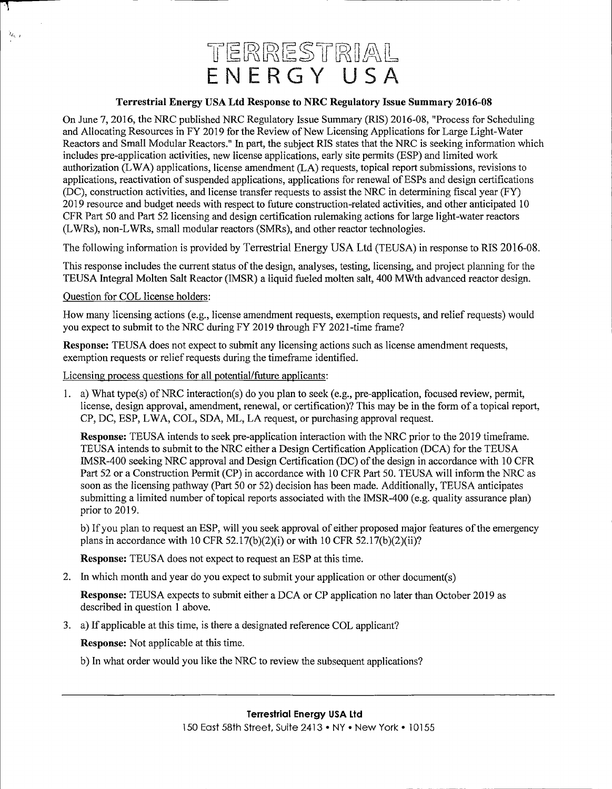## TERRESTRIAL ENERGY USA

#### **Terrestrial Energy USA Ltd Response to NRC Regulatory Issue Summary 2016-08**

On June 7, 2016, the NRC published NRC Regulatory Issue Summary (RIS) 2016-08, "Process for Scheduling and Allocating Resources in FY 2019 forthe Review of New Licensing Applications for Large Light-Water Reactors and Small Modular Reactors." In part, the subject RIS states that the NRC is seeking information which includes pre-application activities, new license applications, early site permits (ESP) and limited work authorization (L WA) applications, license amendment (LA) requests, topical report submissions, revisions to applications, reactivation of suspended applications, applications for renewal of ESPs and design certifications (DC), construction activities, and license transfer requests to assist the NRC in determining fiscal year (FY) 2019 resource and budget needs with respect to future construction-related activities, and other anticipated 10 CFR Part 50 and Part 52 licensing and design certification rulemaking actions for large light-water reactors (L WRs ), non-L WRs, small modular reactors (SMRs ), and other reactor technologies.

The following information is provided by Terrestrial Energy USA Ltd (TEUSA) in response to RIS 2016-08.

This response includes the current status of the design, analyses, testing, licensing, and project planning for the TEUSA Integral Molten Salt Reactor (IMSR) a liquid fueled molten salt, 400 MWth advanced reactor design.

#### Question for COL license holders:

 $\lambda_{\ell_{k-1}}$ 

How many licensing actions (e.g., license amendment requests, exemption requests, and relief requests) would you expect to submit to the NRC during FY 2019 through FY 2021-time frame?

**Response:** TEUSA does not expect to submit any licensing actions such as license amendment requests, exemption requests or relief requests during the timeframe identified.

Licensing process questions for all potential/future applicants:

1. a) What type(s) ofNRC interaction(s) do you plan to seek (e.g., pre-application, focused review, permit, license, design approval, amendment, renewal, or certification)? This may be in the form of a topical report, CP, DC, ESP, L WA, COL, SDA, ML, LA request, or purchasing approval request.

**Response:** TEUSA intends to seek pre-application interaction with the NRC prior to the 2019 timeframe. TEUSA intends to submit to the NRC either a Design Certification Application (DCA) for the TEUSA IMSR-400 seeking NRC approval and Design Certification (DC) of the design in accordance with 10 CFR Part 52 or a Construction Permit (CP) in accordance with 10 CFR Part 50. TEUSA will inform the NRC as soon as the licensing pathway (Part 50 or 52) decision has been made. Additionally, TEUSA anticipates submitting a limited number of topical reports associated with the IMSR-400 (e.g. quality assurance plan) prior to 2019.

b) If you plan to request an ESP, will you seek approval of either proposed major features of the emergency plans in accordance with 10 CFR 52.17(b)(2)(i) or with 10 CFR 52.17(b)(2)(ii)?

**Response:** TEUSA does not expect to request an ESP at this time.

2. In which month and year do you expect to submit your application or other document(s)

**Response:** TEUSA expects to submit either a DCA or CP application no later than October 2019 as described in question 1 above.

3. a) If applicable at this time, is there a designated reference COL applicant?

**Response:** Not applicable at this time.

b) In what order would you like the NRC to review the subsequent applications?

### **Terrestrial Energy USA Ltd**

150 East 58th Street, Suite 2413 • NY• New York • l 0155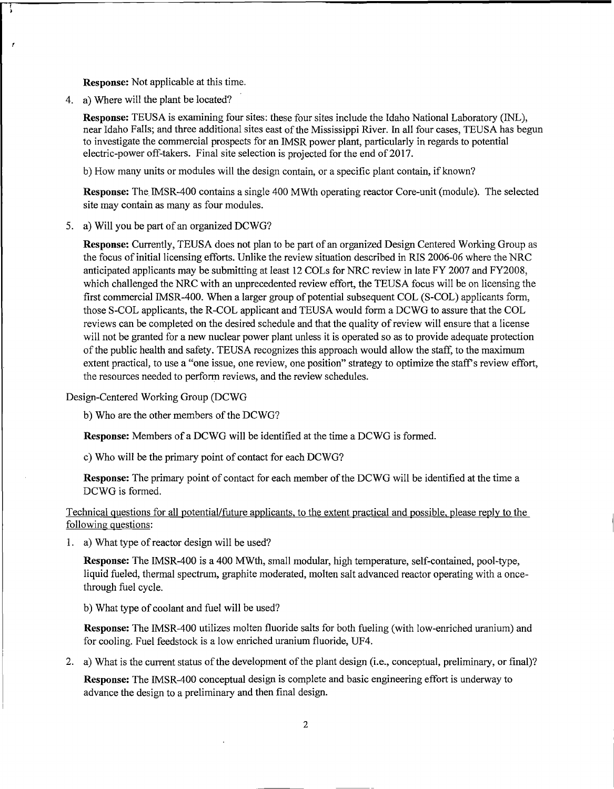**Response:** Not applicable at this time.

4. a) Where will the plant be located?

J.

**Response:** TEUSA is examining four sites: these four sites include the Idaho National Laboratory (INL), near Idaho Falls; and three additional sites east of the Mississippi River. In all four cases, TEUSA has begun to investigate the commercial prospects for an IMSR power plant, particularly in regards to potential electric-power off-takers. Final site selection is projected for the end of 2017.

b) How many units or modules will the design contain, or a specific plant contain, if known?

**Response:** The. IMSR-400 contains a single 400 MWth operating reactor Core-unit (module). The selected site may contain as many as four modules.

5. a) Will you be part of an organized DCWG?

**Response:** Currently, TEUSA does not plan to be part of an organized Design Centered Working Group as the focus of initial licensing efforts. Unlike the review situation described in RIS 2006-06 where the NRC anticipated applicants may be submitting at least 12 COLs for NRC review in late FY 2007 and FY2008, which challenged the NRC with an unprecedented review effort, the TEUSA focus will be on licensing the first commercial IMSR-400. When a larger group of potential subsequent COL (S-COL) applicants form, those S-COL applicants, the R-COL applicant and TEUSA would form a DCWG to assure that the COL reviews can be completed on the desired schedule and that the quality of review will ensure that a license will not be granted for a new nuclear power plant unless it is operated so as to provide adequate protection of the public health and safety. TE USA recognizes this approach would allow the staff, to the maximum extent practical, to use a "one issue, one review, one position" strategy to optimize the staff's review effort, the resources needed to perform reviews, and the review schedules.

Design-Centered Working Group (DCWG

b) Who are the other members of the DCWG?

**Response:** Members of a DCWG will be identified at the time a DCWG is formed.

c) Who will be the primary point of contact for each DCWG?

**Response:** The primary point of contact for each member of the DCWG will be identified at the time a DCWG is formed.

Technical questions for all potential/future applicants, to the extent practical and possible, please reply to the following questions:

1. a) What type of reactor design will be used?

**Response:** The IMSR-400 is a 400 MWth, small modular, high temperature, self-contained, pool-type, liquid fueled, thermal spectrum, graphite moderated, molten salt advanced reactor operating with a oncethrough fuel cycle.

b) What type of coolant and fuel will be used?

**Response:** The IMSR-400 utilizes molten fluoride salts for both fueling (with low-enriched uranium) and for cooling. Fuel feedstock is a low enriched uranium fluoride, UF4.

2. a) What is the current status of the development of the plant design (i.e., conceptual, preliminary, or final)?

**Response:** The IMSR-400 conceptual design is complete and basic engineering effort is underway to advance the design to a preliminary and then final design.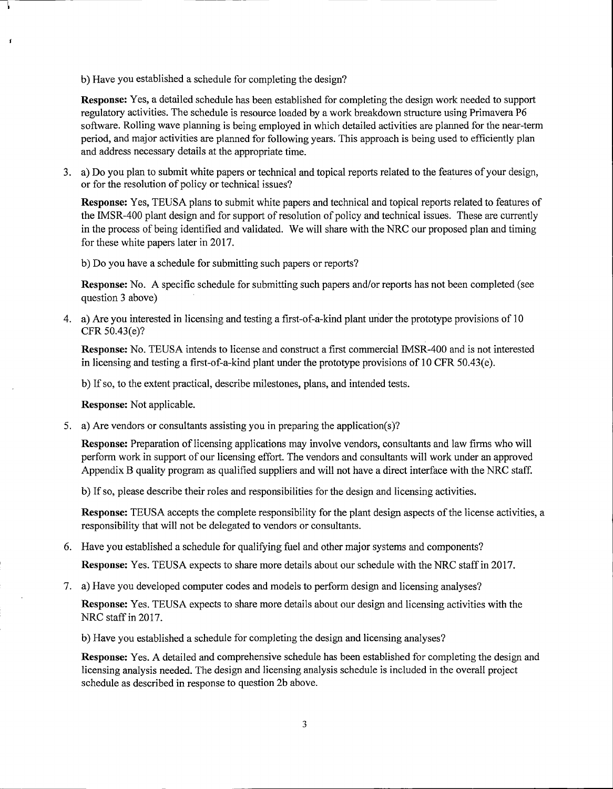b) Have you established a schedule for completing the design?

**Response:** Yes, a detailed schedule has been established for completing the design work needed to support regulatory activities. The schedule is resource loaded by a work breakdown structure using Primavera P6 software. Rolling wave planning is being employed in which detailed activities are planned for the near-term period, and major activities are planned for following years. This approach is being used to efficiently plan and address necessary details at the appropriate time.

3. a) Do you plan to submit white papers or technical and topical reports related to the features of your design, or for the resolution of policy or technical issues?

**Response:** Yes, TEUSA plans to submit white papers and technical and topical reports related to features of the IMSR-400 plant design and for support of resolution of policy and technical issues. These are currently in the process of being identified and validated. We will share with the NRC our proposed plan and timing for these white papers later in 2017.

b) Do you have a schedule for submitting such papers or reports?

**Response:** No. A specific schedule for submitting such papers and/or reports has not been completed (see question 3 above)

4. a) Are you interested in licensing and testing a first-of-a-kind plant under the prototype provisions of 10 CFR 50.43(e)?

**Response:** No. TEUSA intends to license and construct a first commercial IMSR-400 and is not interested in licensing and testing a first-of-a-kind plant under the prototype provisions of 10 CFR  $50.43(e)$ .

b) If so, to the extent practical, describe milestones, plans, and intended tests.

**Response:** Not applicable.

5. a) Are vendors or consultants assisting you in preparing the application(s)?

**Response:** Preparation of licensing applications may involve vendors, consultants and law firms who will perform work in support of our licensing effort. The vendors and consultants will work under an approved Appendix B quality program as qualified suppliers and will not have a direct interface with the NRC staff.

b) If so, please describe their roles and responsibilities for the design and licensing activities.

**Response:** TEUSA accepts the complete responsibility for the plant design aspects of the license activities, a responsibility that will not be delegated to vendors or consultants.

6. Have you established a schedule for qualifying fuel and other major systems and components?

**Response:** Yes. TEUSA expects to share more details about our schedule with the NRC staff in 2017.

7. a) Have you developed computer codes and models to perform design and licensing analyses?

**Response:** Yes. TEUSA expects to share more details about our design and licensing activities with the NRC staff in 2017.

b) Have you established a schedule for completing the design and licensing analyses?

**Response:** Yes. A detailed and comprehensive schedule has been established for completing the design and licensing analysis needed. The design and licensing analysis schedule is included in the overall project schedule as described in response to question 2b above.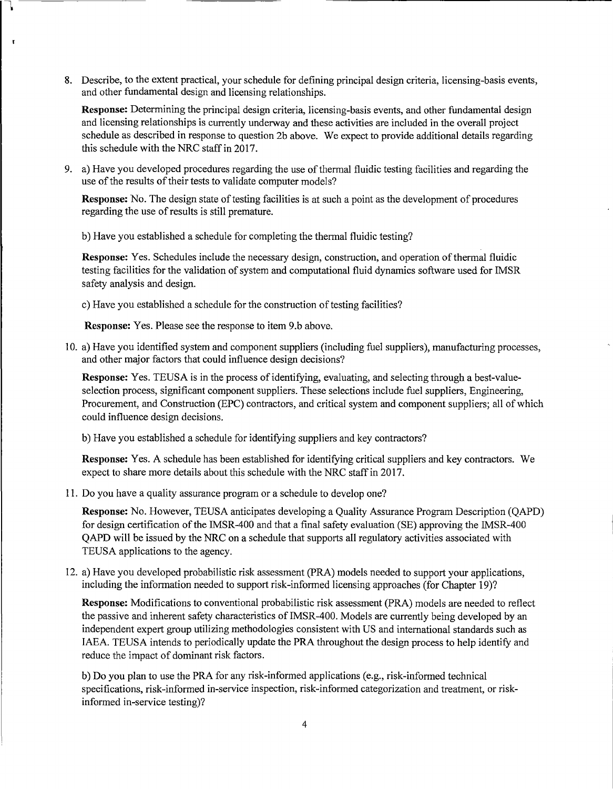8. Describe, to the extent practical, your schedule for defining principal design criteria, licensing-basis events, and other fundamental design and licensing relationships.

**Response:** Determining the principal design criteria, licensing-basis events, and other fundamental design and licensing relationships is currently underway and these activities are included in the overall project schedule as described in response to question 2b above. We expect to provide additional details regarding this schedule with the NRC staff in 2017.

9. a) Have you developed procedures regarding the use of thermal fluidic testing facilities and regarding the use of the results of their tests to validate computer models?

**Response:** No. The design state of testing facilities is at such a point as the development of procedures regarding the use of results is still premature.

b) Have you established a schedule for completing the thermal fluidic testing?

**Response:** Yes. Schedules include the necessary design, construction, and operation of thermal fluidic testing facilities for the validation of system and computational fluid dynamics software used for IMSR safety analysis and design.

c) Have you established a schedule for the construction of testing facilities?

**Response:** Yes. Please see the response to item 9.b above.

x

10. a) Have you identified system and component suppliers (including fuel suppliers), manufacturing processes, and other major factors that could influence design decisions?

**Response:** Yes. TEUSA is in the process of identifying, evaluating, and selecting through a best-valueselection process, significant component suppliers. These selections include fuel suppliers, Engineering, Procurement, and Construction (EPC) contractors, and critical system and component suppliers; all of which could influence design decisions.

b) Have you established a schedule for identifying suppliers and key contractors?

**Response:** Yes. A schedule has been established for identifying critical suppliers and key contractors. We expect to share more details about this schedule with the NRC staff in 2017.

11. Do you have a quality assurance program or a schedule to develop one?

**Response:** No. However, TEUSA anticipates developing a Quality Assurance Program Description (QAPD) for design certification of the IMSR-400 and that a final safety evaluation (SE) approving the IMSR-400 QAPD will be issued by the NRC on a schedule that supports all regulatory activities associated with TEUSA applications to the agency.

12. a) Have you developed probabilistic risk assessment (PRA) models needed to support your applications, including the information needed to support risk-informed licensing approaches (for Chapter 19)?

**Response:** Modifications to conventional probabilistic risk assessment (PRA) models are needed to reflect the passive and inherent safety characteristics of IMSR-400. Models are currently being developed by an independent expert group utilizing methodologies consistent with US and international standards such as IAEA. TEUSA intends to periodically update the PRA throughout the design process to help identify and reduce the impact of dominant risk factors.

b) Do you plan to use the PRA for any risk-informed applications (e.g., risk-informed technical specifications, risk-informed in-service inspection, risk-informed categorization and treatment, or riskinformed in-service testing)?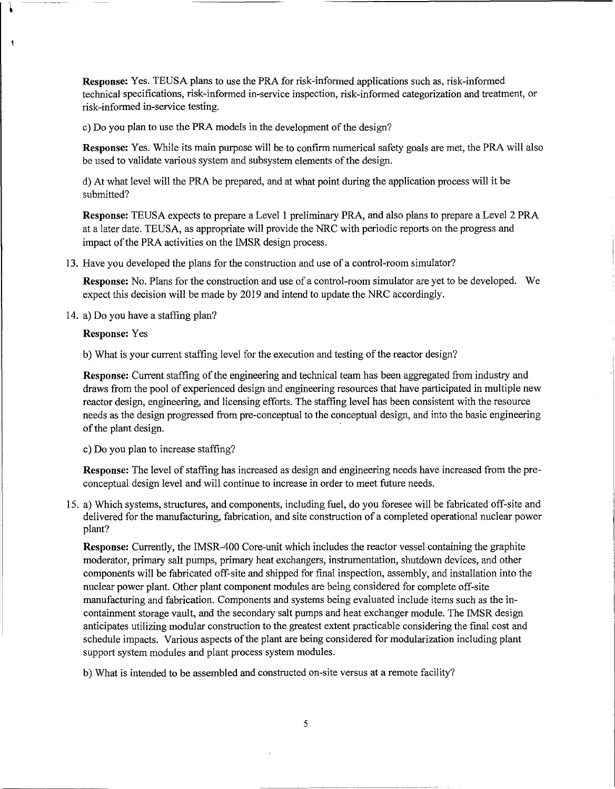**Response:** Yes. TEUSA plans to use the PRA for risk-informed applications such as, risk-informed technical specifications, risk-informed in-service inspection, risk-informed categorization and treatment, or risk-informed in-service testing.

c) Do you plan to use the PRA models in the development of the design?

**Response:** Yes. While its main purpose will be to confirm numerical safety goals are met, the PRA will also be used to validate various system and subsystem elements of the design.

d) At what level will the PRA be prepared, and at what point during the application process will it be submitted?

**Response:** TEUSA expects to prepare a Level 1 preliminary PRA, and also plans to prepare a Level 2 PRA at a later date. TEUSA, as appropriate will provide the NRC with periodic reports on the progress and impact of the PRA activities on the IMSR design process.

13. Have you developed the plans for the construction and use of a control-room simulator?

**Response:** No. Plans for the construction and use of a control-room simulator are yet to be developed. We expect this decision will be made by 2019 and intend to update the NRC accordingly.

14. a) Do you have a staffing plan?

**Response:** Yes

b) What is your current staffing level for the execution and testing of the reactor design?

**Response:** Current staffing of the engineering and technical team has been aggregated from industry and draws from the pool of experienced design and engineering resources that have participated in multiple new reactor design, engineering, and licensing efforts. The staffing level has been consistent with the resource needs as the design progressed from pre-conceptual to the conceptual design, and into the basic engineering of the plant design.

c) Do you plan to increase staffing?

**Response:** The level of staffing has increased as design and engineering needs have increased from the preconceptual design level and will continue to increase in order to meet future needs.

15. a) Which systems, structures, and components, including fuel, do you foresee will be fabricated off-site and delivered for the manufacturing, fabrication, and site construction of a completed operational nuclear power plant?

**Response:** Currently, the IMSR-400 Core-unit which includes the reactor vessel containing the graphite moderator, primary salt pumps, primary heat exchangers, instrumentation, shutdown devices, and other components will be fabricated off-site and shipped for final inspection, assembly, and installation into the nuclear power plant. Other plant component modules are being considered for complete off-site manufacturing and fabrication. Components and systems being evaluated include items such as the incontainment storage vault, and the secondary salt pumps and heat exchanger module. The IMSR design anticipates utilizing modular construction to the greatest extent practicable considering the final cost and schedule impacts. Various aspects of the plant are being considered for modularization including plant support system modules and plant process system modules.

b) What is intended to be assembled and constructed on-site versus at a remote facility?